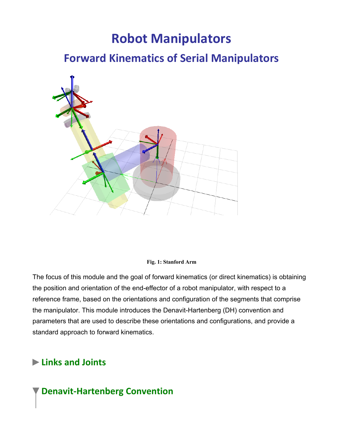# **Robot Manipulators**

## **Forward Kinematics of Serial Manipulators**



#### **Fig. 1: Stanford Arm**

The focus of this module and the goal of forward kinematics (or direct kinematics) is obtaining the position and orientation of the end-effector of a robot manipulator, with respect to a reference frame, based on the orientations and configuration of the segments that comprise the manipulator. This module introduces the Denavit-Hartenberg (DH) convention and parameters that are used to describe these orientations and configurations, and provide a standard approach to forward kinematics.

#### **Links and Joints**

### **Denavit-Hartenberg Convention**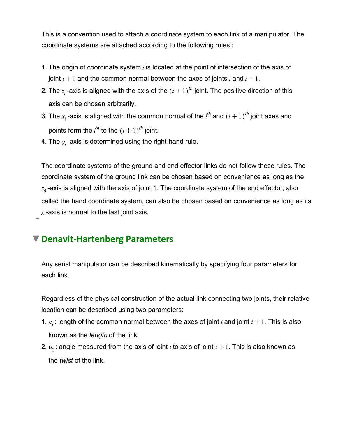This is a convention used to attach a coordinate system to each link of a manipulator. The coordinate systems are attached according to the following rules :

- 1. The origin of coordinate system  $i$  is located at the point of intersection of the axis of joint  $i + 1$  and the common normal between the axes of joints i and  $i + 1$ .
- 2. The  $z_i$ -axis is aligned with the axis of the  $(i + 1)^{m}$  joint. The positive direction of this axis can be chosen arbitrarily.
- 3. The  $x_i$ -axis is aligned with the common normal of the  $i^{\prime n}$  and  $(i + 1)^{\prime n}$  joint axes and points form the  $i^{th}$  to the  $(i + 1)^{th}$  joint.
- 4. The  $y_i$  -axis is determined using the right-hand rule.

The coordinate systems of the ground and end effector links do not follow these rules. The coordinate system of the ground link can be chosen based on convenience as long as the  $z_0$ -axis is aligned with the axis of joint 1. The coordinate system of the end effector, also called the hand coordinate system, can also be chosen based on convenience as long as its  $x$ -axis is normal to the last joint axis.

#### **Denavit-Hartenberg Parameters**

Any serial manipulator can be described kinematically by specifying four parameters for each link.

Regardless of the physical construction of the actual link connecting two joints, their relative location can be described using two parameters:

- 1.  $a_i$ : length of the common normal between the axes of joint i and joint  $i + 1$ . This is also known as the *length* of the link.
- 2.  $\alpha$  : angle measured from the axis of joint i to axis of joint  $i + 1$ . This is also known as the *twist* of the link.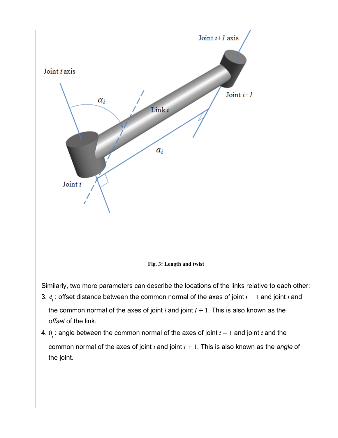

4.  $\theta$ , : angle between the common normal of the axes of joint  $i-1$  and joint  $i$  and the common normal of the axes of joint  $i$  and joint  $i + 1$ . This is also known as the *angle* of the joint.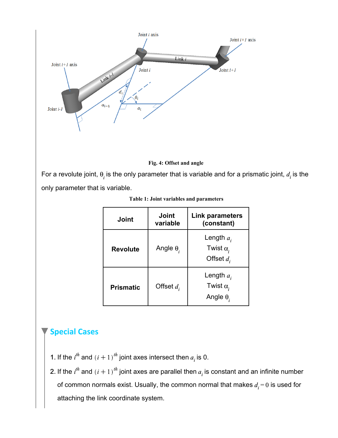



For a revolute joint,  $\theta_i$  is the only parameter that is variable and for a prismatic joint,  $d_i$  is the only parameter that is variable.

| Joint            | <b>Joint</b><br>variable | Link parameters<br>(constant)                        |
|------------------|--------------------------|------------------------------------------------------|
| <b>Revolute</b>  | Angle $\theta_i$         | Length $a_i$<br>Twist $\alpha$ ,<br>Offset $d_i$     |
| <b>Prismatic</b> | Offset $d_i$             | Length $a_i$<br>Twist $\alpha$ ,<br>Angle $\theta_i$ |

| Table 1: Joint variables and parameters |  |  |  |  |  |
|-----------------------------------------|--|--|--|--|--|
|-----------------------------------------|--|--|--|--|--|

#### **Special Cases**

- 1. If the  $i<sup>m</sup>$  and  $(i + 1)<sup>m</sup>$  joint axes intersect then  $a<sub>i</sub>$  is 0.
- 2. If the  $i''$  and  $(i + 1)''$  joint axes are parallel then  $a_i$  is constant and an infinite number of common normals exist. Usually, the common normal that makes  $d_i = 0$  is used for attaching the link coordinate system.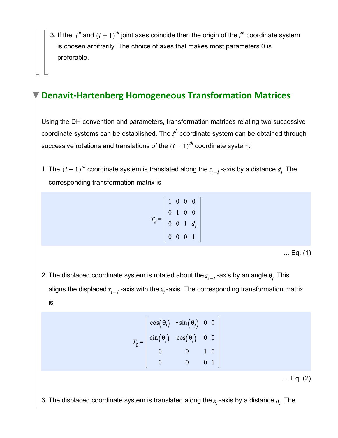3. If the  $i^{\prime\prime\prime}$  and  $(i + 1)^{\prime\prime\prime}$  joint axes coincide then the origin of the  $i^{\prime\prime\prime}$  coordinate system is chosen arbitrarily. The choice of axes that makes most parameters 0 is preferable.

### **Denavit-Hartenberg Homogeneous Transformation Matrices**

Using the DH convention and parameters, transformation matrices relating two successive coordinate systems can be established. The  $i^{\text{th}}$  coordinate system can be obtained through successive rotations and translations of the  $(i - 1)^{th}$  coordinate system:

1. The  $(i - 1)^{m}$  coordinate system is translated along the  $z_{i-1}$ -axis by a distance  $d_i$ . The corresponding transformation matrix is

$$
T_d = \begin{bmatrix} 1 & 0 & 0 & 0 \\ 0 & 1 & 0 & 0 \\ 0 & 0 & 1 & d_i \\ 0 & 0 & 0 & 1 \end{bmatrix}
$$

... Eq. (1)

2. The displaced coordinate system is rotated about the  $z_{i-1}$ -axis by an angle  $\theta_i$ . This aligns the displaced  $x_{i-1}$ -axis with the  $x_i$ -axis. The corresponding transformation matrix is

$$
\sigma_{\theta} = \begin{bmatrix} \cos(\theta_i) & -\sin(\theta_i) & 0 & 0 \\ \sin(\theta_i) & \cos(\theta_i) & 0 & 0 \\ 0 & 0 & 1 & 0 \\ 0 & 0 & 0 & 1 \end{bmatrix}
$$

... Eq. (2)

3. The displaced coordinate system is translated along the  $x_i$ -axis by a distance  $a_i$ . The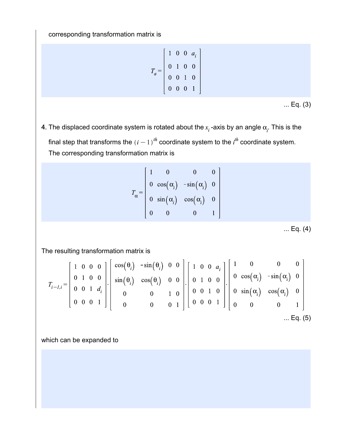corresponding transformation matrix is

$$
T_a = \begin{bmatrix} 1 & 0 & 0 & a_i \\ 0 & 1 & 0 & 0 \\ 0 & 0 & 1 & 0 \\ 0 & 0 & 0 & 1 \end{bmatrix}
$$

... Eq. (3)

4. The displaced coordinate system is rotated about the  $x_i$ -axis by an angle  $\alpha_i$ . This is the final step that transforms the  $(i - 1)^{th}$  coordinate system to the  $i^{th}$  coordinate system. The corresponding transformation matrix is

$$
T_{\alpha} = \begin{bmatrix} 1 & 0 & 0 & 0 \\ 0 & \cos(\alpha_i) & -\sin(\alpha_i) & 0 \\ 0 & \sin(\alpha_i) & \cos(\alpha_i) & 0 \\ 0 & 0 & 0 & 1 \end{bmatrix}
$$

... Eq. (4)

The resulting transformation matrix is

$$
T_{i-1,i} = \begin{bmatrix} 1 & 0 & 0 & 0 \\ 0 & 1 & 0 & 0 \\ 0 & 0 & 1 & d_i \\ 0 & 0 & 0 & 1 \end{bmatrix} \begin{bmatrix} \cos(\theta_i) & -\sin(\theta_i) & 0 & 0 \\ \sin(\theta_i) & \cos(\theta_i) & 0 & 0 \\ 0 & 0 & 1 & 0 \\ 0 & 0 & 0 & 1 \end{bmatrix} \begin{bmatrix} 1 & 0 & 0 & a_i \\ 0 & 1 & 0 & 0 \\ 0 & 0 & 1 & 0 \\ 0 & 0 & 0 & 1 \end{bmatrix} \begin{bmatrix} 1 & 0 & 0 & 0 \\ 0 & \cos(\alpha_i) & -\sin(\alpha_i) & 0 \\ 0 & 0 & 1 & 0 \\ 0 & 0 & 0 & 1 \end{bmatrix}
$$
  
... Eq. (5)

which can be expanded to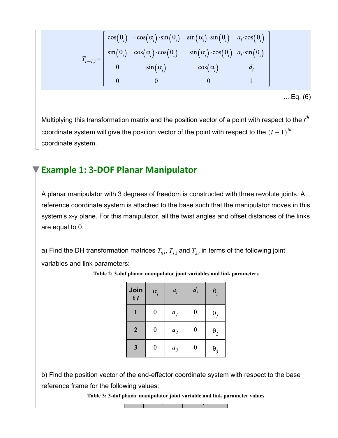$$
T_{i-1,i} = \begin{bmatrix} \cos(\theta_i) & -\cos(\alpha_i) \cdot \sin(\theta_i) & \sin(\alpha_i) \cdot \sin(\theta_i) & a_i \cdot \cos(\theta_i) \\ \sin(\theta_i) & \cos(\alpha_i) \cdot \cos(\theta_i) & -\sin(\alpha_i) \cdot \cos(\theta_i) & a_i \cdot \sin(\theta_i) \\ 0 & \sin(\alpha_i) & \cos(\alpha_i) & d_i \\ 0 & 0 & 0 & 1 \end{bmatrix}
$$

... Eq. (6)

Multiplying this transformation matrix and the position vector of a point with respect to the  $i^{th}$ coordinate system will give the position vector of the point with respect to the  $(i - 1)^{th}$ coordinate system.

### **Example 1: 3-DOF Planar Manipulator**

A planar manipulator with 3 degrees of freedom is constructed with three revolute joints. A reference coordinate system is attached to the base such that the manipulator moves in this system's x-y plane. For this manipulator, all the twist angles and offset distances of the links are equal to 0.

a) Find the DH transformation matrices  $T_{01}$ ,  $T_{12}$  and  $T_{23}$  in terms of the following joint variables and link parameters:

| Join<br>t i      | $\alpha_i$ | $a_i$          | $d_i$     | $\theta_i$              |
|------------------|------------|----------------|-----------|-------------------------|
| 1                | 0          | a <sub>1</sub> | $\pmb{0}$ | $\theta$ ,              |
| $\boldsymbol{2}$ | 0          | $a_2$          | $\pmb{0}$ | $\boldsymbol{\theta}_2$ |
| 3                | 0          | $a_3$          | 0         | $\theta_{3}$            |

**Table 2: 3-dof planar manipulator joint variables and link parameters**

b) Find the position vector of the end-effector coordinate system with respect to the base reference frame for the following values:

**Table 3: 3-dof planar manipulator joint variable and link parameter values**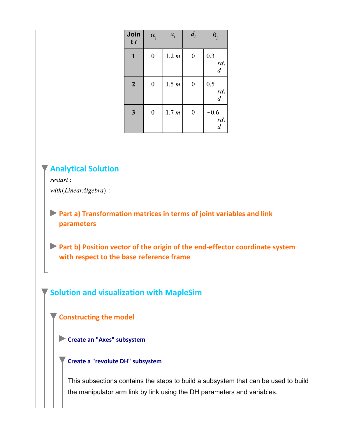| Join<br>$t_i$    | $\alpha_{i}$     | $a_i$ | $d_i$            | $\theta_i$                          |
|------------------|------------------|-------|------------------|-------------------------------------|
| $\mathbf{1}$     | $\boldsymbol{0}$ | 1.2 m | $\boldsymbol{0}$ | 0.3<br>ra<br>$\boldsymbol{d}$       |
| $\boldsymbol{2}$ | $\boldsymbol{0}$ | 1.5 m | $\boldsymbol{0}$ | 0.5<br>ra<br>$\boldsymbol{d}$       |
| 3                | $\boldsymbol{0}$ | 1.7 m | $\boldsymbol{0}$ | $-0.6$<br>$ra\$<br>$\boldsymbol{d}$ |

**Analytical Solution**

restart: with(LinearAlgebra):

**Part a) Transformation matrices in terms of joint variables and link parameters**

**Part b) Position vector of the origin of the end-effector coordinate system with respect to the base reference frame**

**Solution and visualization with MapleSim**

**Constructing the model**

**Create an "Axes" subsystem**

**Create a "revolute DH" subsystem**

This subsections contains the steps to build a subsystem that can be used to build the manipulator arm link by link using the DH parameters and variables.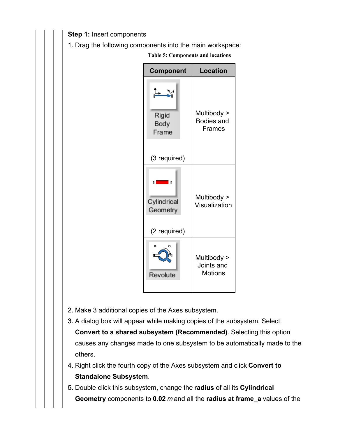**Step 1:** Insert components

1. Drag the following components into the main workspace:

| <b>Component</b>                        | <b>Location</b>                                   |
|-----------------------------------------|---------------------------------------------------|
| Rigid<br>Body<br>Frame                  | Multibody ><br><b>Bodies and</b><br><b>Frames</b> |
| (3 required)                            |                                                   |
| Cylindrical<br>Geometry<br>(2 required) | Multibody ><br>Visualization                      |
| o<br>Œ<br>Revolute                      | Multibody ><br>Joints and<br><b>Motions</b>       |

**Table 5: Components and locations**

- 2. Make 3 additional copies of the Axes subsystem.
- 3. A dialog box will appear while making copies of the subsystem. Select **Convert to a shared subsystem (Recommended)**. Selecting this option causes any changes made to one subsystem to be automatically made to the others.
- 4. Right click the fourth copy of the Axes subsystem and click **Convert to Standalone Subsystem**.
- 5. Double click this subsystem, change the **radius** of all its **Cylindrical Geometry** components to **0.02** *m* and all the **radius at frame\_a** values of the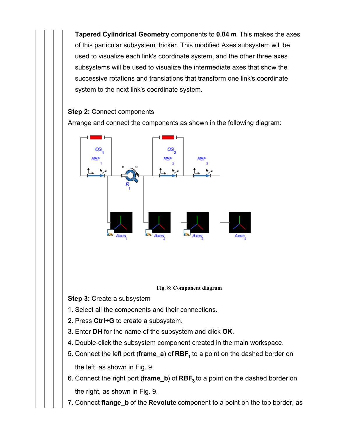**Tapered Cylindrical Geometry** components to **0.04** *m.* This makes the axes of this particular subsystem thicker. This modified Axes subsystem will be used to visualize each link's coordinate system, and the other three axes subsystems will be used to visualize the intermediate axes that show the successive rotations and translations that transform one link's coordinate system to the next link's coordinate system.

#### **Step 2:** Connect components

Arrange and connect the components as shown in the following diagram:





**Step 3:** Create a subsystem

- 1. Select all the components and their connections.
- 2. Press **Ctrl+G** to create a subsystem.
- 3. Enter **DH** for the name of the subsystem and click **OK**.
- 4. Double-click the subsystem component created in the main workspace.
- 5. Connect the left port (**frame\_a**) of **RBF<sup>1</sup>** to a point on the dashed border on the left, as shown in Fig. 9.
- 6. Connect the right port (**frame\_b**) of **RBF<sup>3</sup>** to a point on the dashed border on the right, as shown in Fig. 9.
- 7. Connect **flange\_b** of the **Revolute** component to a point on the top border, as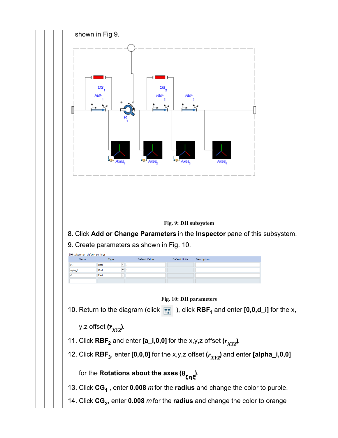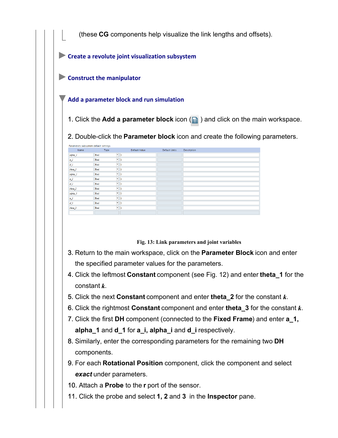(these **CG** components help visualize the link lengths and offsets).

**Create a revolute joint visualization subsystem**

**Construct the manipulator** 

#### **Add a parameter block and run simulation**

1. Click the **Add a parameter block** icon (**iii**) and click on the main workspace.

2. Double-click the **Parameter block** icon and create the following parameters.

| Parameters subsystem default settings |                                  |               |               |             |  |
|---------------------------------------|----------------------------------|---------------|---------------|-------------|--|
| Name                                  | Type                             | Default Value | Default Units | Description |  |
| alpha_1                               | $-1$<br>Real                     |               |               |             |  |
| $a_1$                                 | $-1$<br>Real                     |               |               |             |  |
| $d_l$                                 | $-1$<br>Real                     |               |               |             |  |
| theta_1                               | $\blacktriangledown$<br>Real     | -1            |               |             |  |
| $alpha_2$                             | $\overline{\phantom{a}}$<br>Real | 1             |               |             |  |
| $a_2$                                 | $-1$<br>Real                     |               |               |             |  |
| $d_2$                                 | $-1$<br>Real                     |               |               |             |  |
| theta <sub>2</sub>                    | $-1$<br>Real                     |               |               |             |  |
| alpha_3                               | $-1$<br>Real                     |               |               |             |  |
| $a_3$                                 | $\overline{\phantom{a}}$<br>Real | 1             |               |             |  |
| $d_3$                                 | $\overline{\phantom{a}}$<br>Real | 1             |               |             |  |
| theta <sub>3</sub>                    | $-1$<br>Real                     |               |               |             |  |
|                                       |                                  |               |               |             |  |

**Fig. 13: Link parameters and joint variables**

- 3. Return to the main workspace, click on the **Parameter Block** icon and enter the specified parameter values for the parameters.
- 4. Click the leftmost **Constant** component (see Fig. 12) and enter **theta\_1** for the constant  $k$ .
- 5. Click the next **Constant** component and enter **theta\_2** for the constant  $k$ .
- 6. Click the rightmost  $\textbf{Constant}$  component and enter **theta\_3** for the constant  $k$ .
- 7. Click the first **DH** component (connected to the **Fixed Frame**) and enter **a\_1, alpha\_1** and **d\_1** for **a\_i, alpha\_i** and **d\_i** respectively.
- 8. Similarly, enter the corresponding parameters for the remaining two **DH** components.
- 9. For each **Rotational Position** component, click the component and select *exact* under parameters.
- 10. Attach a **Probe** to the **r** port of the sensor.
- 11. Click the probe and select **1, 2** and **3** in the **Inspector** pane.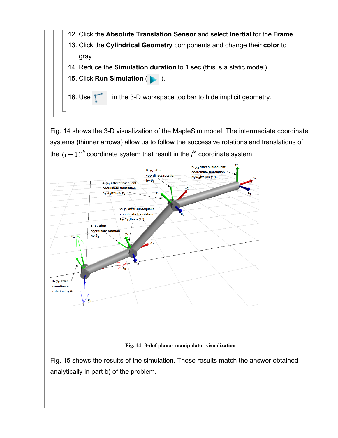- 12. Click the **Absolute Translation Sensor** and select **Inertial** for the **Frame**.
- 13. Click the **Cylindrical Geometry** components and change their **color** to gray.
- 14. Reduce the **Simulation duration** to 1 sec (this is a static model).
- 15. Click **Run Simulation** ( ).

16. Use 1 in the 3-D workspace toolbar to hide implicit geometry.

Fig. 14 shows the 3-D visualization of the MapleSim model. The intermediate coordinate systems (thinner arrows) allow us to follow the successive rotations and translations of the  $(i-1)^{th}$  coordinate system that result in the  $i^{th}$  coordinate system.



#### **Fig. 14: 3-dof planar manipulator visualization**

Fig. 15 shows the results of the simulation. These results match the answer obtained analytically in part b) of the problem.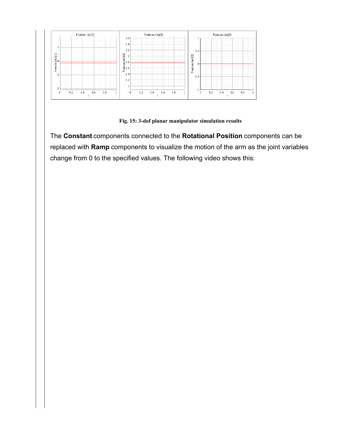

**Fig. 15: 3-dof planar manipulator simulation results**

The **Constant** components connected to the **Rotational Position** components can be replaced with **Ramp** components to visualize the motion of the arm as the joint variables change from 0 to the specified values. The following video shows this: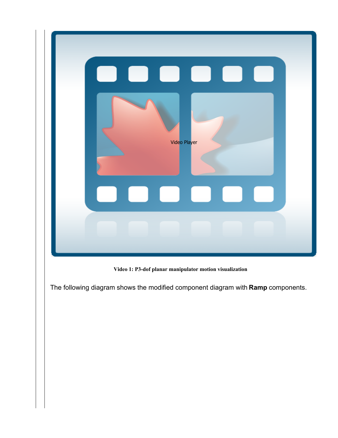

**Video 1: P3-dof planar manipulator motion visualization**

The following diagram shows the modified component diagram with **Ramp** components.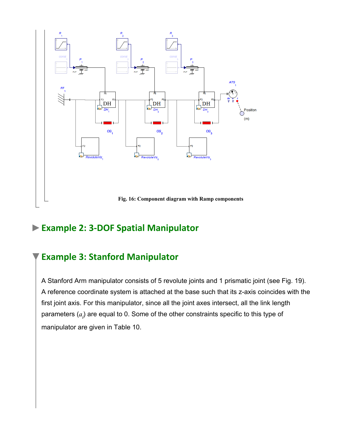

### **Example 2: 3-DOF Spatial Manipulator**

### **Example 3: Stanford Manipulator**

A Stanford Arm manipulator consists of 5 revolute joints and 1 prismatic joint (see Fig. 19). A reference coordinate system is attached at the base such that its z-axis coincides with the first joint axis. For this manipulator, since all the joint axes intersect, all the link length parameters  $(a_i)$  are equal to 0. Some of the other constraints specific to this type of manipulator are given in Table 10.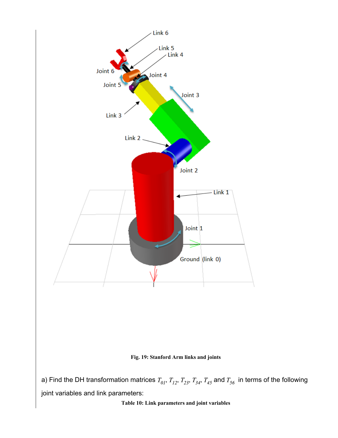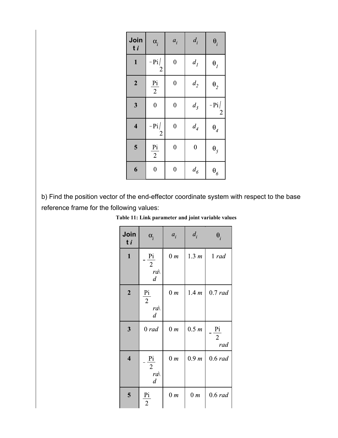| Join<br>t i             | $\alpha$ <sub>i</sub>    | $a_i$            | $d_i$                     | $\theta_i$                   |
|-------------------------|--------------------------|------------------|---------------------------|------------------------------|
| $\mathbf{1}$            | $-Pi/$<br>$\sqrt{2}$     | $\boldsymbol{0}$ | $d_I$                     | $\theta$ <sub>I</sub>        |
| $\overline{\mathbf{2}}$ | Pi<br>$\overline{2}$     | $\boldsymbol{0}$ | $d_{\it 2}$               | $\theta_2$                   |
| $\overline{\mathbf{3}}$ | $\boldsymbol{0}$         | $\boldsymbol{0}$ | $d_3$                     | $-Pi/$<br>$\overline{2}$     |
| $\overline{\mathbf{4}}$ | $-Pi/$<br>$\overline{2}$ | $\boldsymbol{0}$ | $d_{\it 4}$               | $\boldsymbol{\theta}_4$      |
| 5                       | $rac{Pi}{2}$             | $\boldsymbol{0}$ | $\boldsymbol{0}$          | $\boldsymbol{\theta}_5$      |
| 6                       | $\boldsymbol{0}$         | $\boldsymbol{0}$ | $d_{\boldsymbol{\delta}}$ | $\boldsymbol{\theta}_\delta$ |

b) Find the position vector of the end-effector coordinate system with respect to the base reference frame for the following values:

**Table 11: Link parameter and joint variable values**

| Join<br>t i             | $\alpha_i$                                              | $a_i$          | $d_i$          | $\theta_i$                              |
|-------------------------|---------------------------------------------------------|----------------|----------------|-----------------------------------------|
| $\mathbf{1}$            | Pi<br>$\overline{2}$<br>$ra\setminus$<br>$\overline{d}$ | 0 <sub>m</sub> | 1.3 m          | 1 rad                                   |
| $\boldsymbol{2}$        | Pi<br>$\overline{2}$<br>$ra\setminus$<br>$\overline{d}$ | 0 <sub>m</sub> | 1.4 m          | 0.7 rad                                 |
| $\overline{\mathbf{3}}$ | 0 rad                                                   | 0 m            | 0.5 m          | $\frac{pi}{ }$<br>$\overline{2}$<br>rad |
| $\overline{\mathbf{4}}$ | Pi<br>$\overline{2}$<br>$ra\$<br>$\boldsymbol{d}$       | 0 m            | 0.9 m          | $0.6$ rad                               |
| 5                       | Pi<br>$\overline{2}$                                    | 0 <sub>m</sub> | 0 <sub>m</sub> | 0.6 rad                                 |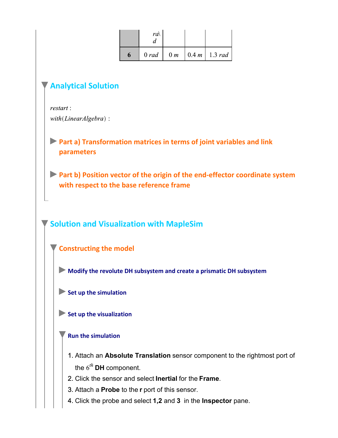| ra |  |                                          |
|----|--|------------------------------------------|
|    |  | $0 rad \mid 0 m \mid 0.4 m \mid 1.3 rad$ |

#### **Analytical Solution**

restart: with(LinearAlgebra):

**Part a) Transformation matrices in terms of joint variables and link parameters**

**Part b) Position vector of the origin of the end-effector coordinate system with respect to the base reference frame**

**Solution and Visualization with MapleSim**

**Constructing the model**

**Modify the revolute DH subsystem and create a prismatic DH subsystem**

Set up the simulation

Set up the visualization

#### **Run the simulation**

- 1. Attach an **Absolute Translation** sensor component to the rightmost port of the  $6^{th}$  DH component.
- 2. Click the sensor and select **Inertial** for the **Frame**.
- 3. Attach a **Probe** to the **r** port of this sensor.
- 4. Click the probe and select **1,2** and **3** in the **Inspector** pane.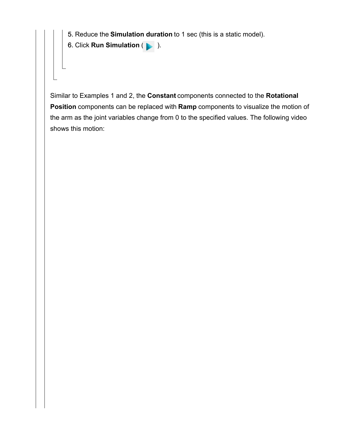5. Reduce the **Simulation duration** to 1 sec (this is a static model).

6. Click **Run Simulation** ( ).

Similar to Examples 1 and 2, the **Constant** components connected to the **Rotational Position** components can be replaced with **Ramp** components to visualize the motion of the arm as the joint variables change from 0 to the specified values. The following video shows this motion: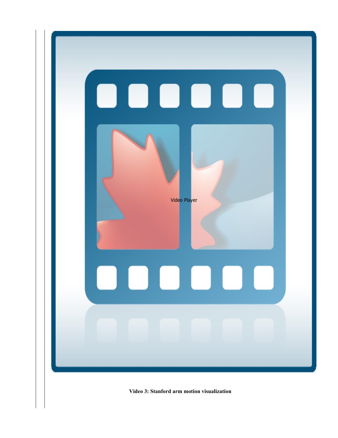